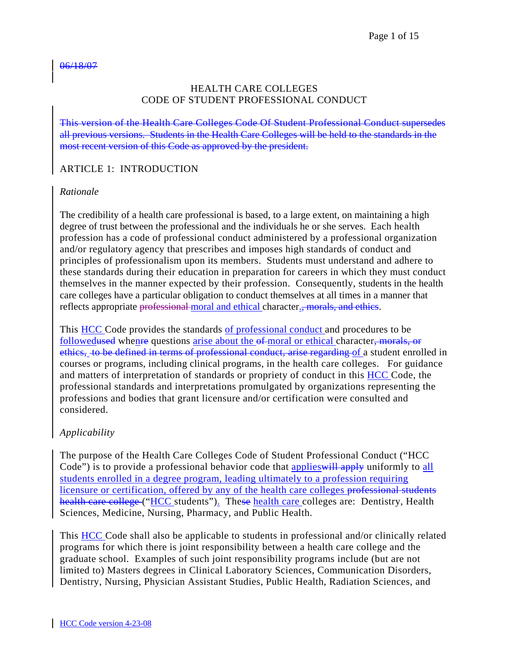#### 06/18/07

### HEALTH CARE COLLEGES CODE OF STUDENT PROFESSIONAL CONDUCT

This version of the Health Care Colleges Code Of Student Professional Conduct supersedes all previous versions. Students in the Health Care Colleges will be held to the standards in the most recent version of this Code as approved by the president.

## ARTICLE 1: INTRODUCTION

### *Rationale*

The credibility of a health care professional is based, to a large extent, on maintaining a high degree of trust between the professional and the individuals he or she serves. Each health profession has a code of professional conduct administered by a professional organization and/or regulatory agency that prescribes and imposes high standards of conduct and principles of professionalism upon its members. Students must understand and adhere to these standards during their education in preparation for careers in which they must conduct themselves in the manner expected by their profession. Consequently, students in the health care colleges have a particular obligation to conduct themselves at all times in a manner that reflects appropriate professional moral and ethical character., morals, and ethics.

This HCC Code provides the standards of professional conduct and procedures to be followedused whenre questions arise about the of-moral or ethical character, morals, or ethics, to be defined in terms of professional conduct, arise regarding of a student enrolled in courses or programs, including clinical programs, in the health care colleges. For guidance and matters of interpretation of standards or propriety of conduct in this HCC Code, the professional standards and interpretations promulgated by organizations representing the professions and bodies that grant licensure and/or certification were consulted and considered.

## *Applicability*

The purpose of the Health Care Colleges Code of Student Professional Conduct ("HCC Code") is to provide a professional behavior code that applies will apply uniformly to all students enrolled in a degree program, leading ultimately to a profession requiring licensure or certification, offered by any of the health care colleges professional students health care college ("HCC students"). These health care colleges are: Dentistry, Health Sciences, Medicine, Nursing, Pharmacy, and Public Health.

This HCC Code shall also be applicable to students in professional and/or clinically related programs for which there is joint responsibility between a health care college and the graduate school. Examples of such joint responsibility programs include (but are not limited to) Masters degrees in Clinical Laboratory Sciences, Communication Disorders, Dentistry, Nursing, Physician Assistant Studies, Public Health, Radiation Sciences, and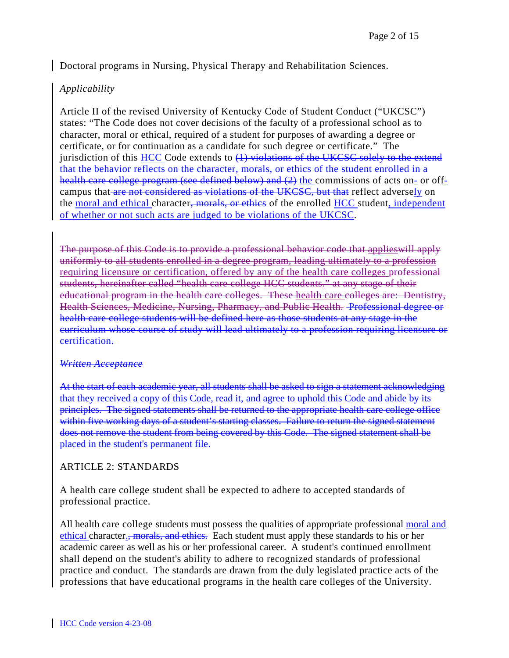Doctoral programs in Nursing, Physical Therapy and Rehabilitation Sciences.

## *Applicability*

Article II of the revised University of Kentucky Code of Student Conduct ("UKCSC") states: "The Code does not cover decisions of the faculty of a professional school as to character, moral or ethical, required of a student for purposes of awarding a degree or certificate, or for continuation as a candidate for such degree or certificate." The jurisdiction of this  $HCC$  Code extends to  $(1)$  violations of the UKCSC solely to the extend that the behavior reflects on the character, morals, or ethics of the student enrolled in a health care college program (see defined below) and (2) the commissions of acts on- or offcampus that are not considered as violations of the UKCSC, but that reflect adversely on the moral and ethical character<del>, morals, or ethics</del> of the enrolled HCC student, independent of whether or not such acts are judged to be violations of the UKCSC.

The purpose of this Code is to provide a professional behavior code that applieswill apply uniformly to all students enrolled in a degree program, leading ultimately to a profession requiring licensure or certification, offered by any of the health care colleges professional students, hereinafter called "health care college HCC students." at any stage of their educational program in the health care colleges. These health care colleges are: Dentistry, Health Sciences, Medicine, Nursing, Pharmacy, and Public Health. Professional degree or health care college students will be defined here as those students at any stage in the curriculum whose course of study will lead ultimately to a profession requiring licensure or certification.

### *Written Acceptance*

At the start of each academic year, all students shall be asked to sign a statement acknowledging that they received a copy of this Code, read it, and agree to uphold this Code and abide by its principles. The signed statements shall be returned to the appropriate health care college office within five working days of a student's starting classes. Failure to return the signed statement does not remove the student from being covered by this Code. The signed statement shall be placed in the student's permanent file.

### ARTICLE 2: STANDARDS

A health care college student shall be expected to adhere to accepted standards of professional practice.

All health care college students must possess the qualities of appropriate professional moral and ethical character., morals, and ethics. Each student must apply these standards to his or her academic career as well as his or her professional career. A student's continued enrollment shall depend on the student's ability to adhere to recognized standards of professional practice and conduct. The standards are drawn from the duly legislated practice acts of the professions that have educational programs in the health care colleges of the University.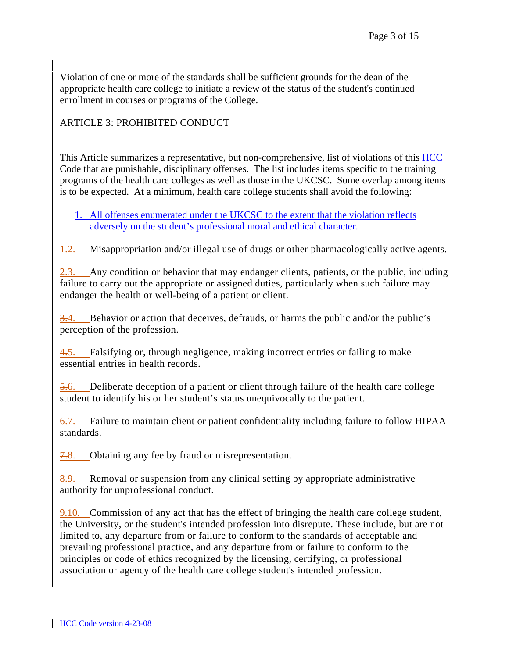Violation of one or more of the standards shall be sufficient grounds for the dean of the appropriate health care college to initiate a review of the status of the student's continued enrollment in courses or programs of the College.

# ARTICLE 3: PROHIBITED CONDUCT

This Article summarizes a representative, but non-comprehensive, list of violations of this HCC Code that are punishable, disciplinary offenses. The list includes items specific to the training programs of the health care colleges as well as those in the UKCSC. Some overlap among items is to be expected. At a minimum, health care college students shall avoid the following:

## 1. All offenses enumerated under the UKCSC to the extent that the violation reflects adversely on the student's professional moral and ethical character.

1.2. Misappropriation and/or illegal use of drugs or other pharmacologically active agents.

 $\frac{2.3}{1.2}$  Any condition or behavior that may endanger clients, patients, or the public, including failure to carry out the appropriate or assigned duties, particularly when such failure may endanger the health or well-being of a patient or client.

3.4. Behavior or action that deceives, defrauds, or harms the public and/or the public's perception of the profession.

4.5. Falsifying or, through negligence, making incorrect entries or failing to make essential entries in health records.

5.6. Deliberate deception of a patient or client through failure of the health care college student to identify his or her student's status unequivocally to the patient.

6.7. Failure to maintain client or patient confidentiality including failure to follow HIPAA standards.

7.8. Obtaining any fee by fraud or misrepresentation.

8.9. Removal or suspension from any clinical setting by appropriate administrative authority for unprofessional conduct.

 $9-10$ . Commission of any act that has the effect of bringing the health care college student, the University, or the student's intended profession into disrepute. These include, but are not limited to, any departure from or failure to conform to the standards of acceptable and prevailing professional practice, and any departure from or failure to conform to the principles or code of ethics recognized by the licensing, certifying, or professional association or agency of the health care college student's intended profession.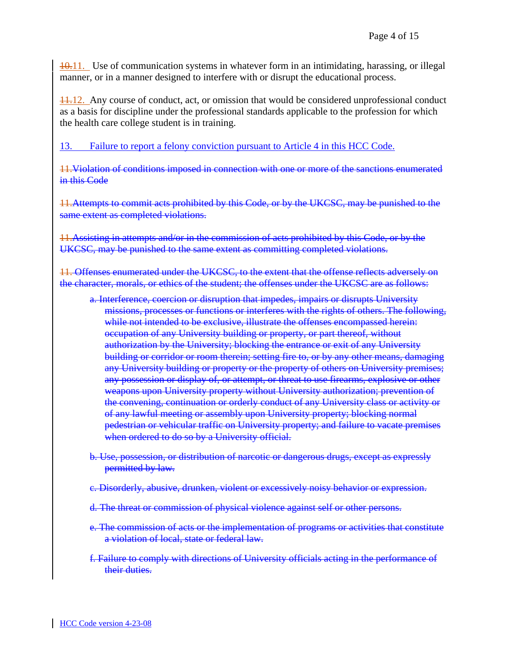10.11. Use of communication systems in whatever form in an intimidating, harassing, or illegal manner, or in a manner designed to interfere with or disrupt the educational process.

 $\frac{11.12}{11.12}$ . Any course of conduct, act, or omission that would be considered unprofessional conduct as a basis for discipline under the professional standards applicable to the profession for which the health care college student is in training.

13. Failure to report a felony conviction pursuant to Article 4 in this HCC Code.

11.Violation of conditions imposed in connection with one or more of the sanctions enumerated in this Code

11.Attempts to commit acts prohibited by this Code, or by the UKCSC, may be punished to the same extent as completed violations.

11.Assisting in attempts and/or in the commission of acts prohibited by this Code, or by the UKCSC, may be punished to the same extent as committing completed violations.

11. Offenses enumerated under the UKCSC, to the extent that the offense reflects adversely on the character, morals, or ethics of the student; the offenses under the UKCSC are as follows:

- a. Interference, coercion or disruption that impedes, impairs or disrupts University missions, processes or functions or interferes with the rights of others. The following, while not intended to be exclusive, illustrate the offenses encompassed herein: occupation of any University building or property, or part thereof, without authorization by the University; blocking the entrance or exit of any University building or corridor or room therein; setting fire to, or by any other means, damaging any University building or property or the property of others on University premises; any possession or display of, or attempt, or threat to use firearms, explosive or other weapons upon University property without University authorization; prevention of the convening, continuation or orderly conduct of any University class or activity or of any lawful meeting or assembly upon University property; blocking normal pedestrian or vehicular traffic on University property; and failure to vacate premises when ordered to do so by a University official.
- b. Use, possession, or distribution of narcotic or dangerous drugs, except as expressly permitted by law.
- c. Disorderly, abusive, drunken, violent or excessively noisy behavior or expression.
- d. The threat or commission of physical violence against self or other persons.
- e. The commission of acts or the implementation of programs or activities that constitute a violation of local, state or federal law.
- f. Failure to comply with directions of University officials acting in the performance of their duties.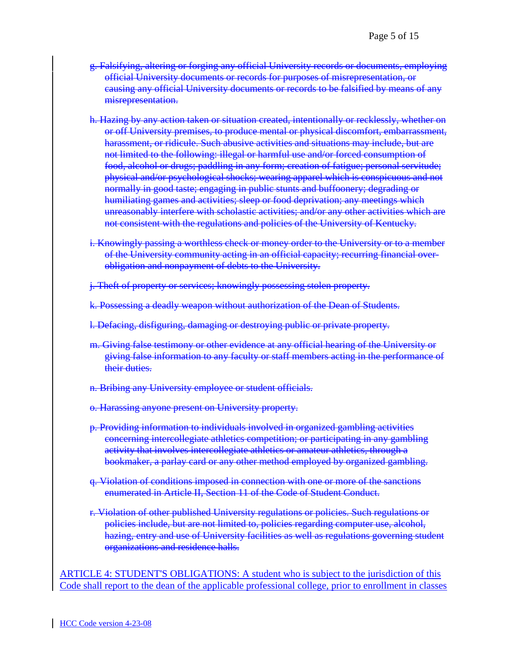- g. Falsifying, altering or forging any official University records or documents, employing official University documents or records for purposes of misrepresentation, or causing any official University documents or records to be falsified by means of any misrepresentation.
- h. Hazing by any action taken or situation created, intentionally or recklessly, whether on or off University premises, to produce mental or physical discomfort, embarrassment, harassment, or ridicule. Such abusive activities and situations may include, but are not limited to the following: illegal or harmful use and/or forced consumption of food, alcohol or drugs; paddling in any form; creation of fatigue; personal servitude; physical and/or psychological shocks; wearing apparel which is conspicuous and not normally in good taste; engaging in public stunts and buffoonery; degrading or humiliating games and activities; sleep or food deprivation; any meetings which unreasonably interfere with scholastic activities; and/or any other activities which are not consistent with the regulations and policies of the University of Kentucky.
- i. Knowingly passing a worthless check or money order to the University or to a member of the University community acting in an official capacity; recurring financial overobligation and nonpayment of debts to the University.

j. Theft of property or services; knowingly possessing stolen property.

- k. Possessing a deadly weapon without authorization of the Dean of Students.
- l. Defacing, disfiguring, damaging or destroying public or private property.
- m. Giving false testimony or other evidence at any official hearing of the University or giving false information to any faculty or staff members acting in the performance of their duties.
- n. Bribing any University employee or student officials.
- o. Harassing anyone present on University property.
- p. Providing information to individuals involved in organized gambling activities concerning intercollegiate athletics competition; or participating in any gambling activity that involves intercollegiate athletics or amateur athletics, through a bookmaker, a parlay card or any other method employed by organized gambling.
- q. Violation of conditions imposed in connection with one or more of the sanctions enumerated in Article II, Section 11 of the Code of Student Conduct.
- r. Violation of other published University regulations or policies. Such regulations or policies include, but are not limited to, policies regarding computer use, alcohol, hazing, entry and use of University facilities as well as regulations governing student organizations and residence halls.

ARTICLE 4: STUDENT'S OBLIGATIONS: A student who is subject to the jurisdiction of this Code shall report to the dean of the applicable professional college, prior to enrollment in classes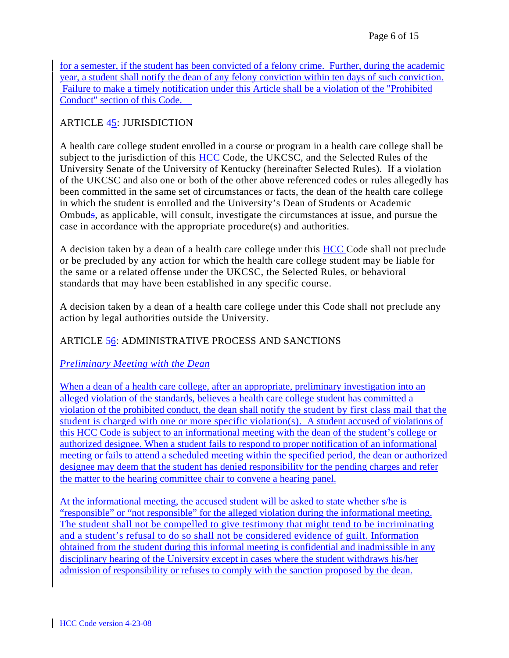for a semester, if the student has been convicted of a felony crime. Further, during the academic year, a student shall notify the dean of any felony conviction within ten days of such conviction. Failure to make a timely notification under this Article shall be a violation of the "Prohibited Conduct" section of this Code.

# ARTICLE-45: JURISDICTION

A health care college student enrolled in a course or program in a health care college shall be subject to the jurisdiction of this **HCC** Code, the UKCSC, and the Selected Rules of the University Senate of the University of Kentucky (hereinafter Selected Rules). If a violation of the UKCSC and also one or both of the other above referenced codes or rules allegedly has been committed in the same set of circumstances or facts, the dean of the health care college in which the student is enrolled and the University's Dean of Students or Academic Ombuds, as applicable, will consult, investigate the circumstances at issue, and pursue the case in accordance with the appropriate procedure(s) and authorities.

A decision taken by a dean of a health care college under this HCC Code shall not preclude or be precluded by any action for which the health care college student may be liable for the same or a related offense under the UKCSC, the Selected Rules, or behavioral standards that may have been established in any specific course.

A decision taken by a dean of a health care college under this Code shall not preclude any action by legal authorities outside the University.

# ARTICLE 56: ADMINISTRATIVE PROCESS AND SANCTIONS

# *Preliminary Meeting with the Dean*

When a dean of a health care college, after an appropriate, preliminary investigation into an alleged violation of the standards, believes a health care college student has committed a violation of the prohibited conduct, the dean shall notify the student by first class mail that the student is charged with one or more specific violation(s). A student accused of violations of this HCC Code is subject to an informational meeting with the dean of the student's college or authorized designee. When a student fails to respond to proper notification of an informational meeting or fails to attend a scheduled meeting within the specified period, the dean or authorized designee may deem that the student has denied responsibility for the pending charges and refer the matter to the hearing committee chair to convene a hearing panel.

At the informational meeting, the accused student will be asked to state whether s/he is "responsible" or "not responsible" for the alleged violation during the informational meeting. The student shall not be compelled to give testimony that might tend to be incriminating and a student's refusal to do so shall not be considered evidence of guilt. Information obtained from the student during this informal meeting is confidential and inadmissible in any disciplinary hearing of the University except in cases where the student withdraws his/her admission of responsibility or refuses to comply with the sanction proposed by the dean.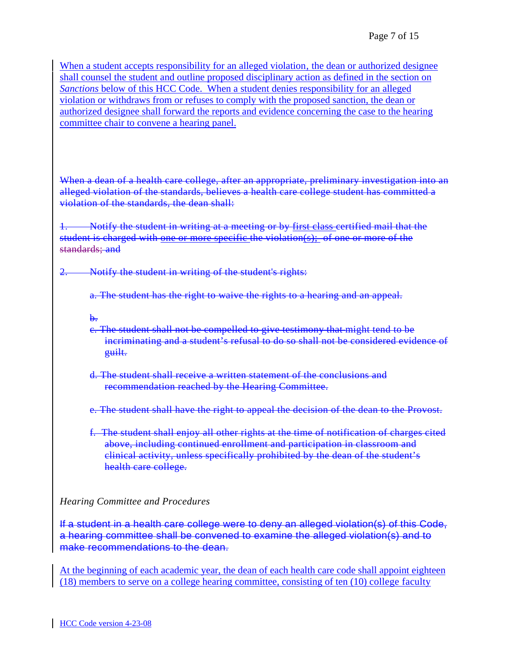When a student accepts responsibility for an alleged violation, the dean or authorized designee shall counsel the student and outline proposed disciplinary action as defined in the section on *Sanctions* below of this HCC Code. When a student denies responsibility for an alleged violation or withdraws from or refuses to comply with the proposed sanction, the dean or authorized designee shall forward the reports and evidence concerning the case to the hearing committee chair to convene a hearing panel.

When a dean of a health care college, after an appropriate, preliminary investigation into an alleged violation of the standards, believes a health care college student has committed a violation of the standards, the dean shall:

1. Notify the student in writing at a meeting or by first class certified mail that the student is charged with one or more specific the violation(s); of one or more of the standards; and

Notify the student in writing of the student's rights:

a. The student has the right to waive the rights to a hearing and an appeal.

 $\mathbf{b}$ .

- c. The student shall not be compelled to give testimony that might tend to be incriminating and a student's refusal to do so shall not be considered evidence of guilt.
- d. The student shall receive a written statement of the conclusions and recommendation reached by the Hearing Committee.

e. The student shall have the right to appeal the decision of the dean to the Provost.

f. The student shall enjoy all other rights at the time of notification of charges cited above, including continued enrollment and participation in classroom and clinical activity, unless specifically prohibited by the dean of the student's health care college.

## *Hearing Committee and Procedures*

If a student in a health care college were to deny an alleged violation(s) of this Code, a hearing committee shall be convened to examine the alleged violation(s) and to make recommendations to the dean.

At the beginning of each academic year, the dean of each health care code shall appoint eighteen (18) members to serve on a college hearing committee, consisting of ten (10) college faculty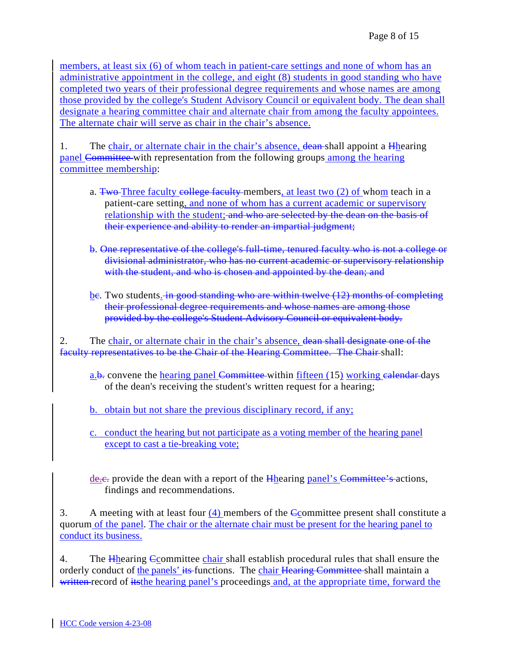members, at least six (6) of whom teach in patient-care settings and none of whom has an administrative appointment in the college, and eight (8) students in good standing who have completed two years of their professional degree requirements and whose names are among those provided by the college's Student Advisory Council or equivalent body. The dean shall designate a hearing committee chair and alternate chair from among the faculty appointees. The alternate chair will serve as chair in the chair's absence.

1. The chair, or alternate chair in the chair's absence, dean-shall appoint a Hhearing panel Committee with representation from the following groups among the hearing committee membership:

- a. Two-Three faculty college faculty members, at least two (2) of whom teach in a patient-care setting, and none of whom has a current academic or supervisory relationship with the student; and who are selected by the dean on the basis of their experience and ability to render an impartial judgment;
- b. One representative of the college's full-time, tenured faculty who is not a college or divisional administrator, who has no current academic or supervisory relationship with the student, and who is chosen and appointed by the dean; and
- be. Two students. in good standing who are within twelve (12) months of completing their professional degree requirements and whose names are among those provided by the college's Student Advisory Council or equivalent body.

2. The chair, or alternate chair in the chair's absence, dean shall designate one of the faculty representatives to be the Chair of the Hearing Committee. The Chair shall:

a.b. convene the hearing panel Committee within fifteen (15) working ealendar days of the dean's receiving the student's written request for a hearing;

b. obtain but not share the previous disciplinary record, if any;

c. conduct the hearing but not participate as a voting member of the hearing panel except to cast a tie-breaking vote;

 $de.$  generally provide the dean with a report of the  $H$ hearing panel's Committee's actions, findings and recommendations.

3. A meeting with at least four (4) members of the Ccommittee present shall constitute a quorum of the panel. The chair or the alternate chair must be present for the hearing panel to conduct its business.

4. The Hearing Committee chair shall establish procedural rules that shall ensure the orderly conduct of the panels' its functions. The chair Hearing Committee shall maintain a written record of its the hearing panel's proceedings and, at the appropriate time, forward the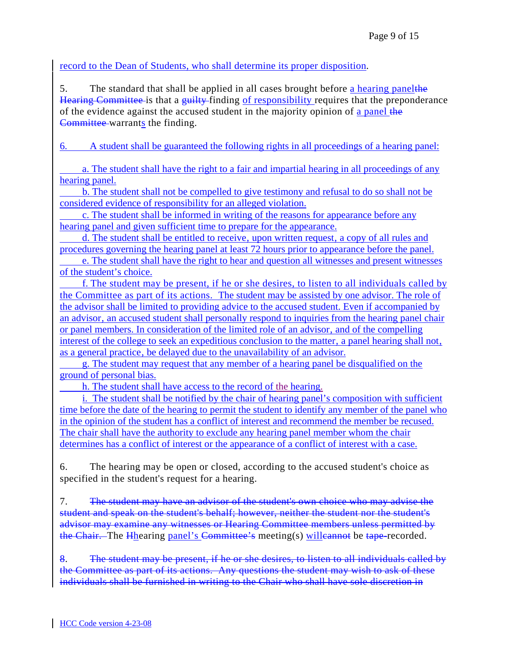record to the Dean of Students, who shall determine its proper disposition.

5. The standard that shall be applied in all cases brought before a hearing panelthe Hearing Committee is that a guilty-finding of responsibility requires that the preponderance of the evidence against the accused student in the majority opinion of a panel the Committee warrants the finding.

6. A student shall be guaranteed the following rights in all proceedings of a hearing panel:

 a. The student shall have the right to a fair and impartial hearing in all proceedings of any hearing panel.

 b. The student shall not be compelled to give testimony and refusal to do so shall not be considered evidence of responsibility for an alleged violation.

 c. The student shall be informed in writing of the reasons for appearance before any hearing panel and given sufficient time to prepare for the appearance.

d. The student shall be entitled to receive, upon written request, a copy of all rules and procedures governing the hearing panel at least 72 hours prior to appearance before the panel.

 e. The student shall have the right to hear and question all witnesses and present witnesses of the student's choice.

 f. The student may be present, if he or she desires, to listen to all individuals called by the Committee as part of its actions. The student may be assisted by one advisor. The role of the advisor shall be limited to providing advice to the accused student. Even if accompanied by an advisor, an accused student shall personally respond to inquiries from the hearing panel chair or panel members. In consideration of the limited role of an advisor, and of the compelling interest of the college to seek an expeditious conclusion to the matter, a panel hearing shall not. as a general practice, be delayed due to the unavailability of an advisor.

 g. The student may request that any member of a hearing panel be disqualified on the ground of personal bias.

h. The student shall have access to the record of the hearing.

i. The student shall be notified by the chair of hearing panel's composition with sufficient time before the date of the hearing to permit the student to identify any member of the panel who in the opinion of the student has a conflict of interest and recommend the member be recused. The chair shall have the authority to exclude any hearing panel member whom the chair determines has a conflict of interest or the appearance of a conflict of interest with a case.

6. The hearing may be open or closed, according to the accused student's choice as specified in the student's request for a hearing.

7. The student may have an advisor of the student's own choice who may advise the student and speak on the student's behalf; however, neither the student nor the student's advisor may examine any witnesses or Hearing Committee members unless permitted by the Chair. The Hhearing panel's Committee's meeting(s) will cannot be tape-recorded.

8. The student may be present, if he or she desires, to listen to all individuals called by the Committee as part of its actions. Any questions the student may wish to ask of these individuals shall be furnished in writing to the Chair who shall have sole discretion in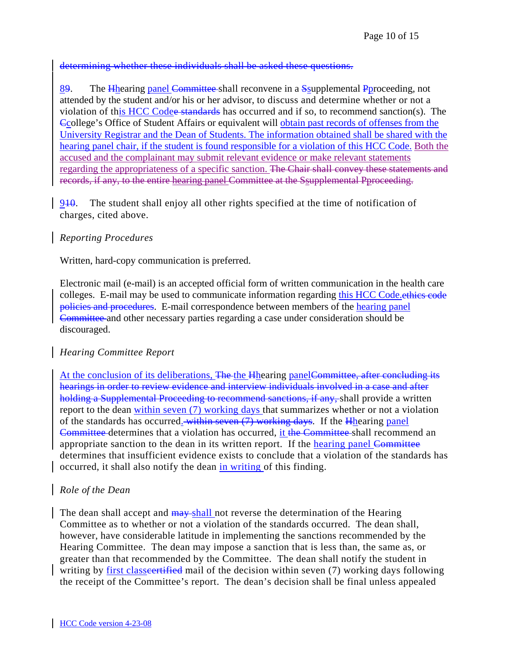### determining whether these individuals shall be asked these questions.

89. The Hhearing panel Committee shall reconvene in a Ssupplemental Pproceeding, not attended by the student and/or his or her advisor, to discuss and determine whether or not a violation of this HCC Codee standards has occurred and if so, to recommend sanction(s). The Ccollege's Office of Student Affairs or equivalent will obtain past records of offenses from the University Registrar and the Dean of Students. The information obtained shall be shared with the hearing panel chair, if the student is found responsible for a violation of this HCC Code. Both the accused and the complainant may submit relevant evidence or make relevant statements regarding the appropriateness of a specific sanction. The Chair shall convey these statements and records, if any, to the entire hearing panel Committee at the Ssupplemental Pproceeding.

940. The student shall enjoy all other rights specified at the time of notification of charges, cited above.

### *Reporting Procedures*

Written, hard-copy communication is preferred.

Electronic mail (e-mail) is an accepted official form of written communication in the health care colleges. E-mail may be used to communicate information regarding this HCC Code.ethics code policies and procedures. E-mail correspondence between members of the hearing panel Committee and other necessary parties regarding a case under consideration should be discouraged.

## *Hearing Committee Report*

At the conclusion of its deliberations, The the Hhearing panelCommittee, after concluding its hearings in order to review evidence and interview individuals involved in a case and after holding a Supplemental Proceeding to recommend sanctions, if any, shall provide a written report to the dean within seven (7) working days that summarizes whether or not a violation of the standards has occurred. within seven (7) working days. If the Hhearing panel Committee determines that a violation has occurred, it the Committee shall recommend an appropriate sanction to the dean in its written report. If the hearing panel Committee determines that insufficient evidence exists to conclude that a violation of the standards has occurred, it shall also notify the dean in writing of this finding.

## *Role of the Dean*

The dean shall accept and  $\frac{may$ -shall not reverse the determination of the Hearing Committee as to whether or not a violation of the standards occurred. The dean shall, however, have considerable latitude in implementing the sanctions recommended by the Hearing Committee. The dean may impose a sanction that is less than, the same as, or greater than that recommended by the Committee. The dean shall notify the student in writing by first classe extidentiation of the decision within seven (7) working days following the receipt of the Committee's report. The dean's decision shall be final unless appealed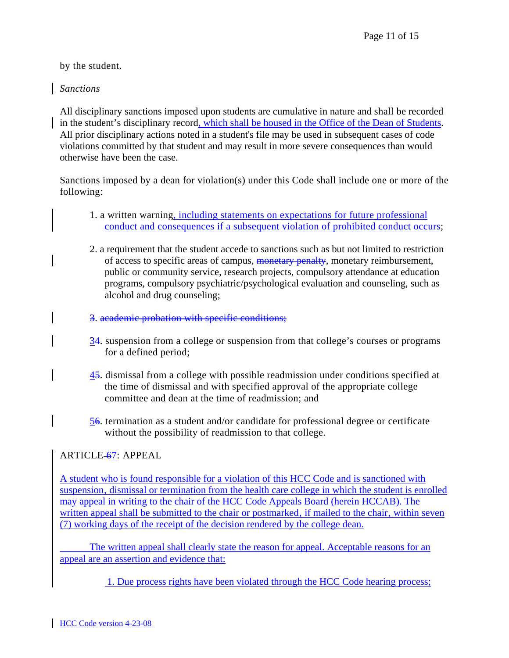by the student.

## *Sanctions*

All disciplinary sanctions imposed upon students are cumulative in nature and shall be recorded in the student's disciplinary record, which shall be housed in the Office of the Dean of Students. All prior disciplinary actions noted in a student's file may be used in subsequent cases of code violations committed by that student and may result in more severe consequences than would otherwise have been the case.

Sanctions imposed by a dean for violation(s) under this Code shall include one or more of the following:

- 1. a written warning, including statements on expectations for future professional conduct and consequences if a subsequent violation of prohibited conduct occurs;
- 2. a requirement that the student accede to sanctions such as but not limited to restriction of access to specific areas of campus, monetary penalty, monetary reimbursement, public or community service, research projects, compulsory attendance at education programs, compulsory psychiatric/psychological evaluation and counseling, such as alcohol and drug counseling;
- 3. academic probation with specific conditions;
- 34. suspension from a college or suspension from that college's courses or programs for a defined period;
- 45. dismissal from a college with possible readmission under conditions specified at the time of dismissal and with specified approval of the appropriate college committee and dean at the time of readmission; and
- 56. termination as a student and/or candidate for professional degree or certificate without the possibility of readmission to that college.

# ARTICLE-67: APPEAL

A student who is found responsible for a violation of this HCC Code and is sanctioned with suspension, dismissal or termination from the health care college in which the student is enrolled may appeal in writing to the chair of the HCC Code Appeals Board (herein HCCAB). The written appeal shall be submitted to the chair or postmarked, if mailed to the chair, within seven (7) working days of the receipt of the decision rendered by the college dean.

 The written appeal shall clearly state the reason for appeal. Acceptable reasons for an appeal are an assertion and evidence that:

1. Due process rights have been violated through the HCC Code hearing process;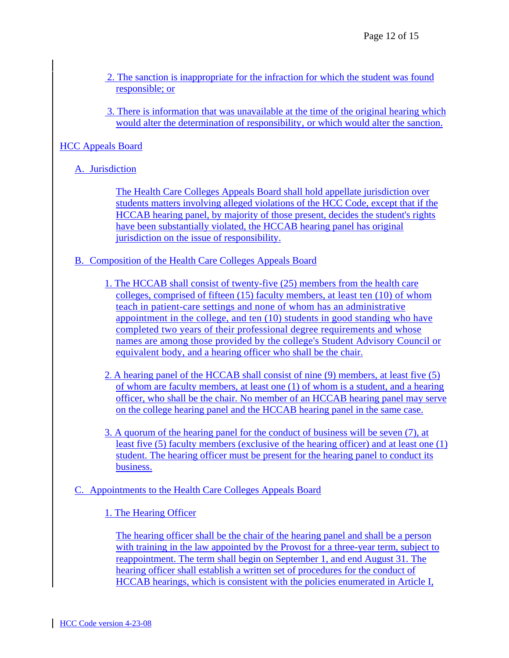- 2. The sanction is inappropriate for the infraction for which the student was found responsible; or
- 3. There is information that was unavailable at the time of the original hearing which would alter the determination of responsibility, or which would alter the sanction.

## HCC Appeals Board

# A. Jurisdiction

The Health Care Colleges Appeals Board shall hold appellate jurisdiction over students matters involving alleged violations of the HCC Code, except that if the HCCAB hearing panel, by majority of those present, decides the student's rights have been substantially violated, the HCCAB hearing panel has original jurisdiction on the issue of responsibility.

- B. Composition of the Health Care Colleges Appeals Board
	- 1. The HCCAB shall consist of twenty-five (25) members from the health care colleges, comprised of fifteen (15) faculty members, at least ten (10) of whom teach in patient-care settings and none of whom has an administrative appointment in the college, and ten (10) students in good standing who have completed two years of their professional degree requirements and whose names are among those provided by the college's Student Advisory Council or equivalent body, and a hearing officer who shall be the chair.
	- 2. A hearing panel of the HCCAB shall consist of nine (9) members, at least five (5) of whom are faculty members, at least one (1) of whom is a student, and a hearing officer, who shall be the chair. No member of an HCCAB hearing panel may serve on the college hearing panel and the HCCAB hearing panel in the same case.
	- 3. A quorum of the hearing panel for the conduct of business will be seven (7), at least five (5) faculty members (exclusive of the hearing officer) and at least one (1) student. The hearing officer must be present for the hearing panel to conduct its business.

# C. Appointments to the Health Care Colleges Appeals Board

# 1. The Hearing Officer

The hearing officer shall be the chair of the hearing panel and shall be a person with training in the law appointed by the Provost for a three-year term, subject to reappointment. The term shall begin on September 1, and end August 31. The hearing officer shall establish a written set of procedures for the conduct of HCCAB hearings, which is consistent with the policies enumerated in Article I,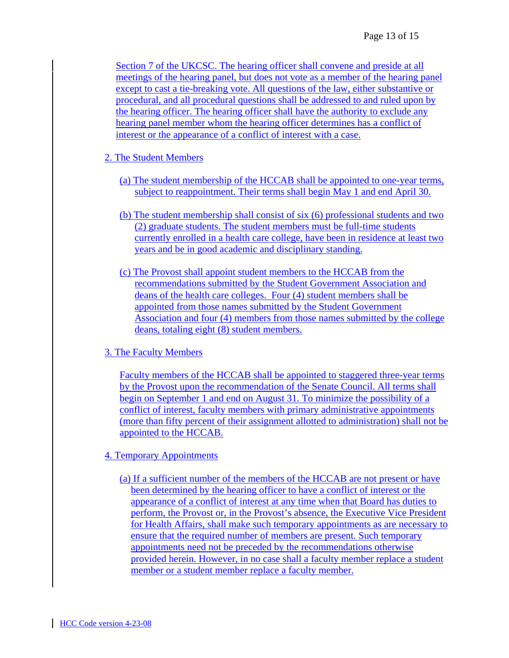Section 7 of the UKCSC. The hearing officer shall convene and preside at all meetings of the hearing panel, but does not vote as a member of the hearing panel except to cast a tie-breaking vote. All questions of the law, either substantive or procedural, and all procedural questions shall be addressed to and ruled upon by the hearing officer. The hearing officer shall have the authority to exclude any hearing panel member whom the hearing officer determines has a conflict of interest or the appearance of a conflict of interest with a case.

- 2. The Student Members
	- (a) The student membership of the HCCAB shall be appointed to one-year terms, subject to reappointment. Their terms shall begin May 1 and end April 30.
	- (b) The student membership shall consist of six (6) professional students and two (2) graduate students. The student members must be full-time students currently enrolled in a health care college, have been in residence at least two years and be in good academic and disciplinary standing.
	- (c) The Provost shall appoint student members to the HCCAB from the recommendations submitted by the Student Government Association and deans of the health care colleges. Four (4) student members shall be appointed from those names submitted by the Student Government Association and four (4) members from those names submitted by the college deans, totaling eight (8) student members.

### 3. The Faculty Members

Faculty members of the HCCAB shall be appointed to staggered three-year terms by the Provost upon the recommendation of the Senate Council. All terms shall begin on September 1 and end on August 31. To minimize the possibility of a conflict of interest, faculty members with primary administrative appointments (more than fifty percent of their assignment allotted to administration) shall not be appointed to the HCCAB.

### 4. Temporary Appointments

(a) If a sufficient number of the members of the HCCAB are not present or have been determined by the hearing officer to have a conflict of interest or the appearance of a conflict of interest at any time when that Board has duties to perform, the Provost or, in the Provost's absence, the Executive Vice President for Health Affairs, shall make such temporary appointments as are necessary to ensure that the required number of members are present. Such temporary appointments need not be preceded by the recommendations otherwise provided herein. However, in no case shall a faculty member replace a student member or a student member replace a faculty member.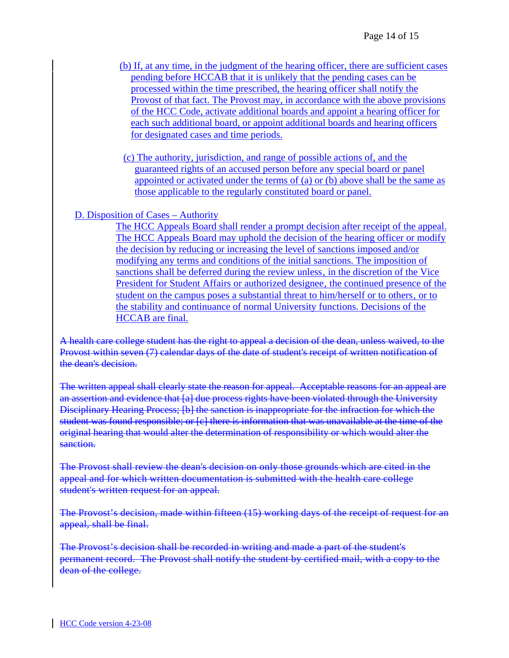- (b) If, at any time, in the judgment of the hearing officer, there are sufficient cases pending before HCCAB that it is unlikely that the pending cases can be processed within the time prescribed, the hearing officer shall notify the Provost of that fact. The Provost may, in accordance with the above provisions of the HCC Code, activate additional boards and appoint a hearing officer for each such additional board, or appoint additional boards and hearing officers for designated cases and time periods.
- (c) The authority, jurisdiction, and range of possible actions of, and the guaranteed rights of an accused person before any special board or panel appointed or activated under the terms of (a) or (b) above shall be the same as those applicable to the regularly constituted board or panel.

D. Disposition of Cases – Authority

The HCC Appeals Board shall render a prompt decision after receipt of the appeal. The HCC Appeals Board may uphold the decision of the hearing officer or modify the decision by reducing or increasing the level of sanctions imposed and/or modifying any terms and conditions of the initial sanctions. The imposition of sanctions shall be deferred during the review unless, in the discretion of the Vice President for Student Affairs or authorized designee, the continued presence of the student on the campus poses a substantial threat to him/herself or to others, or to the stability and continuance of normal University functions. Decisions of the HCCAB are final.

A health care college student has the right to appeal a decision of the dean, unless waived, to the Provost within seven (7) calendar days of the date of student's receipt of written notification of the dean's decision.

The written appeal shall clearly state the reason for appeal. Acceptable reasons for an appeal are an assertion and evidence that [a] due process rights have been violated through the University Disciplinary Hearing Process; [b] the sanction is inappropriate for the infraction for which the student was found responsible; or [c] there is information that was unavailable at the time of the original hearing that would alter the determination of responsibility or which would alter the sanction.

The Provost shall review the dean's decision on only those grounds which are cited in the appeal and for which written documentation is submitted with the health care college student's written request for an appeal.

The Provost's decision, made within fifteen (15) working days of the receipt of request for an appeal, shall be final.

The Provost's decision shall be recorded in writing and made a part of the student's permanent record. The Provost shall notify the student by certified mail, with a copy to the dean of the college.